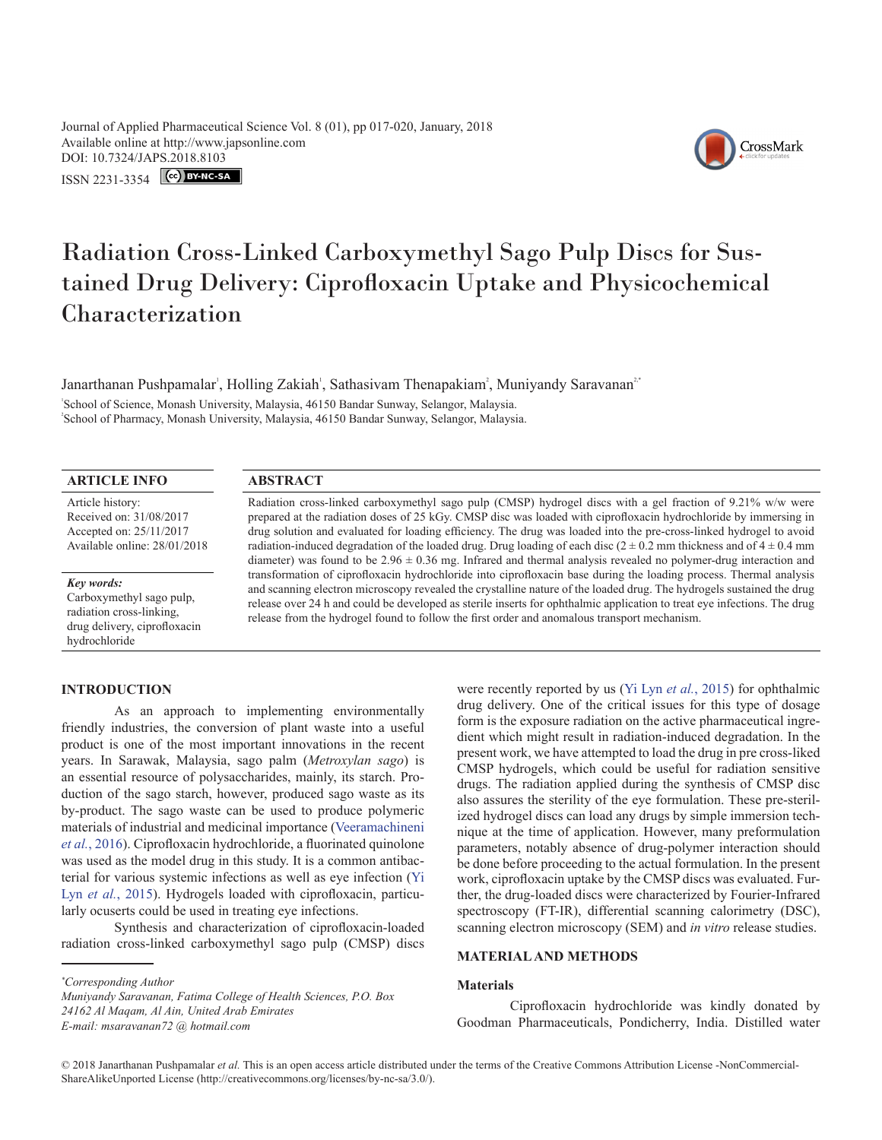Journal of Applied Pharmaceutical Science Vol. 8 (01), pp 017-020, January, 2018 Available online at http://www.japsonline.com DOI: 10.7324/JA[PS.2018.8103](https://creativecommons.org/licenses/by-nc-sa/3.0/)

ISSN 2231-3354 CC BY-NC-SA



# Radiation Cross-Linked Carboxymethyl Sago Pulp Discs for Sustained Drug Delivery: Ciprofloxacin Uptake and Physicochemical Characterization

Janarthanan Pushpamalar', Holling Zakiah', Sathasivam Thenapakiam<sup>2</sup>, Muniyandy Saravanan<sup>2\*</sup>

School of Science, Monash University, Malaysia, 46150 Bandar Sunway, Selangor, Malaysia. 2 School of Pharmacy, Monash University, Malaysia, 46150 Bandar Sunway, Selangor, Malaysia.

## **ARTICLE INFO ABSTRACT**

Article history: Received on: 31/08/2017 Accepted on: 25/11/2017 Available online: 28/01/2018

*Key words:* Carboxymethyl sago pulp, radiation cross-linking, drug delivery, ciprofloxacin hydrochloride

Radiation cross-linked carboxymethyl sago pulp (CMSP) hydrogel discs with a gel fraction of 9.21% w/w were prepared at the radiation doses of 25 kGy. CMSP disc was loaded with ciprofloxacin hydrochloride by immersing in drug solution and evaluated for loading efficiency. The drug was loaded into the pre-cross-linked hydrogel to avoid radiation-induced degradation of the loaded drug. Drug loading of each disc ( $2 \pm 0.2$  mm thickness and of  $4 \pm 0.4$  mm diameter) was found to be  $2.96 \pm 0.36$  mg. Infrared and thermal analysis revealed no polymer-drug interaction and transformation of ciprofloxacin hydrochloride into ciprofloxacin base during the loading process. Thermal analysis and scanning electron microscopy revealed the crystalline nature of the loaded drug. The hydrogels sustained the drug release over 24 h and could be developed as sterile inserts for ophthalmic application to treat eye infections. The drug release from the hydrogel found to follow the first order and anomalous transport mechanism.

# **INTRODUCTION**

As an approach to implementing environmentally friendly industries, the conversion of plant waste into a useful product is one of the most important innovations in the recent years. In Sarawak, Malaysia, sago palm (*Metroxylan sago*) is an essential resource of polysaccharides, mainly, its starch. Production of the sago starch, however, produced sago waste as its by-product. The sago waste can be used to produce polymeric materials of industrial and medicinal importance ([Veeramachineni](#page-3-0)  *et al.*[, 2016](#page-3-0)). Ciprofloxacin hydrochloride, a fluorinated quinolone was used as the model drug in this study. It is a common antibacterial for various systemic infections as well as eye infection ([Yi](#page-3-1)  Lyn et al.[, 2015](#page-3-1)). Hydrogels loaded with ciprofloxacin, particularly ocuserts could be used in treating eye infections.

Synthesis and characterization of ciprofloxacin-loaded radiation cross-linked carboxymethyl sago pulp (CMSP) discs

*\* Corresponding Author*

were recently reported by us ([Yi Lyn](#page-3-1) *et al.*, 2015) for ophthalmic drug delivery. One of the critical issues for this type of dosage form is the exposure radiation on the active pharmaceutical ingredient which might result in radiation-induced degradation. In the present work, we have attempted to load the drug in pre cross-liked CMSP hydrogels, which could be useful for radiation sensitive drugs. The radiation applied during the synthesis of CMSP disc also assures the sterility of the eye formulation. These pre-sterilized hydrogel discs can load any drugs by simple immersion technique at the time of application. However, many preformulation parameters, notably absence of drug-polymer interaction should be done before proceeding to the actual formulation. In the present work, ciprofloxacin uptake by the CMSP discs was evaluated. Further, the drug-loaded discs were characterized by Fourier-Infrared spectroscopy (FT-IR), differential scanning calorimetry (DSC), scanning electron microscopy (SEM) and *in vitro* release studies.

### **MATERIAL AND METHODS**

#### **Materials**

Ciprofloxacin hydrochloride was kindly donated by Goodman Pharmaceuticals, Pondicherry, India. Distilled water

*Muniyandy Saravanan, Fatima College of Health Sciences, P.O. Box 24162 Al Maqam, Al Ain, United Arab Emirates E-mail: msaravanan72 @ hotmail.com*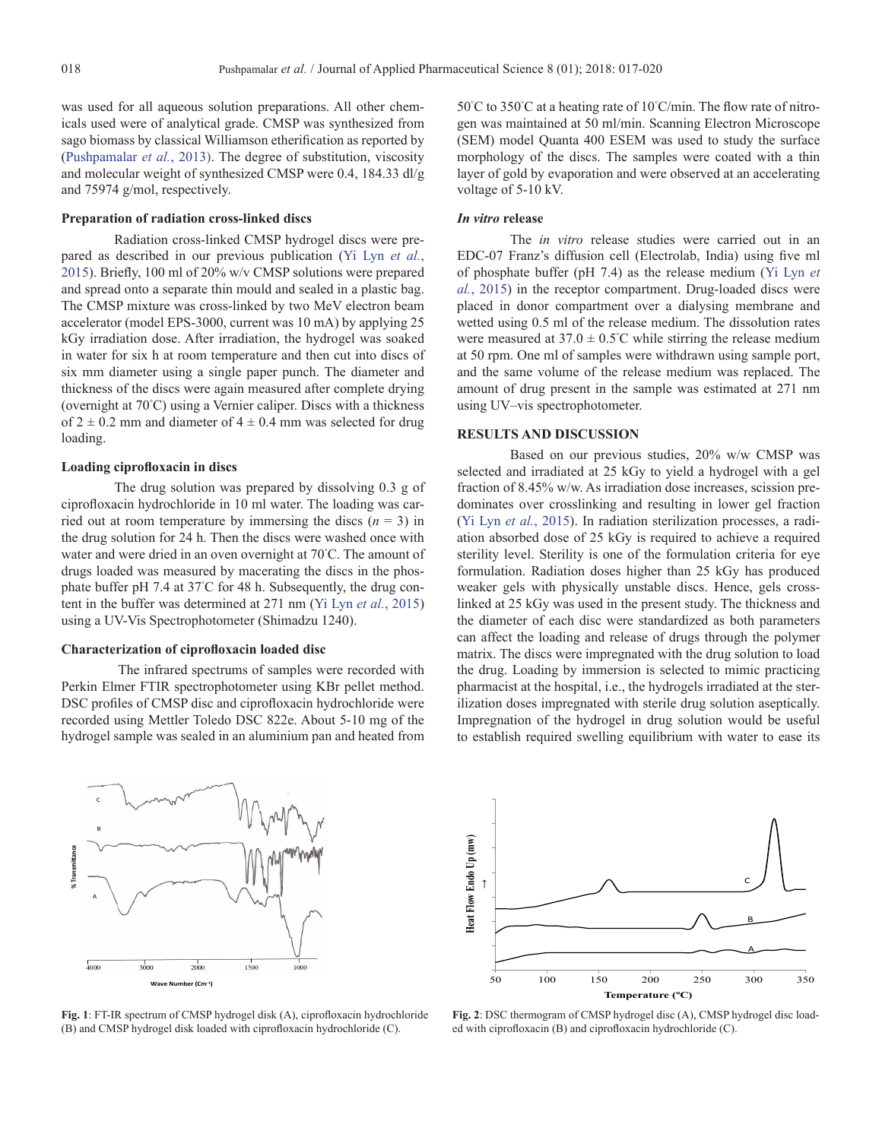was used for all aqueous solution preparations. All other chemicals used were of analytical grade. CMSP was synthesized from sago biomass by classical Williamson etherification as reported by ([Pushpamalar](#page-3-2) *et al.*, 2013). The degree of substitution, viscosity and molecular weight of synthesized CMSP were 0.4, 184.33 dl/g and 75974 g/mol, respectively.

#### **Preparation of radiation cross-linked discs**

Radiation cross-linked CMSP hydrogel discs were prepared as described in our previous publication ([Yi Lyn](#page-3-1) *et al.*, [2015](#page-3-1)). Briefly, 100 ml of 20% w/v CMSP solutions were prepared and spread onto a separate thin mould and sealed in a plastic bag. The CMSP mixture was cross-linked by two MeV electron beam accelerator (model EPS-3000, current was 10 mA) by applying 25 kGy irradiation dose. After irradiation, the hydrogel was soaked in water for six h at room temperature and then cut into discs of six mm diameter using a single paper punch. The diameter and thickness of the discs were again measured after complete drying (overnight at 70° C) using a Vernier caliper. Discs with a thickness of  $2 \pm 0.2$  mm and diameter of  $4 \pm 0.4$  mm was selected for drug loading.

### **Loading ciprofloxacin in discs**

The drug solution was prepared by dissolving 0.3 g of ciprofloxacin hydrochloride in 10 ml water. The loading was carried out at room temperature by immersing the discs  $(n = 3)$  in the drug solution for 24 h. Then the discs were washed once with water and were dried in an oven overnight at 70° C. The amount of drugs loaded was measured by macerating the discs in the phosphate buffer pH 7.4 at 37° C for 48 h. Subsequently, the drug content in the buffer was determined at 271 nm [\(Yi Lyn](#page-3-1) *et al.*, 2015) using a UV-Vis Spectrophotometer (Shimadzu 1240).

### **Characterization of ciprofloxacin loaded disc**

 The infrared spectrums of samples were recorded with Perkin Elmer FTIR spectrophotometer using KBr pellet method. DSC profiles of CMSP disc and ciprofloxacin hydrochloride were recorded using Mettler Toledo DSC 822e. About 5-10 mg of the hydrogel sample was sealed in an aluminium pan and heated from

50° C to 350° C at a heating rate of 10° C/min. The flow rate of nitrogen was maintained at 50 ml/min. Scanning Electron Microscope (SEM) model Quanta 400 ESEM was used to study the surface morphology of the discs. The samples were coated with a thin layer of gold by evaporation and were observed at an accelerating voltage of 5-10 kV.

#### *In vitro* **release**

The *in vitro* release studies were carried out in an EDC-07 Franz's diffusion cell (Electrolab, India) using five ml of phosphate buffer (pH 7.4) as the release medium [\(Yi Lyn](#page-3-1) *et al.*[, 2015](#page-3-1)) in the receptor compartment. Drug-loaded discs were placed in donor compartment over a dialysing membrane and wetted using 0.5 ml of the release medium. The dissolution rates were measured at  $37.0 \pm 0.5^{\circ}$ C while stirring the release medium at 50 rpm. One ml of samples were withdrawn using sample port, and the same volume of the release medium was replaced. The amount of drug present in the sample was estimated at 271 nm using UV–vis spectrophotometer.

#### **RESULTS AND DISCUSSION**

Based on our previous studies, 20% w/w CMSP was selected and irradiated at 25 kGy to yield a hydrogel with a gel fraction of 8.45% w/w. As irradiation dose increases, scission predominates over crosslinking and resulting in lower gel fraction ([Yi Lyn](#page-3-1) *et al.*, 2015). In radiation sterilization processes, a radiation absorbed dose of 25 kGy is required to achieve a required sterility level. Sterility is one of the formulation criteria for eye formulation. Radiation doses higher than 25 kGy has produced weaker gels with physically unstable discs. Hence, gels crosslinked at 25 kGy was used in the present study. The thickness and the diameter of each disc were standardized as both parameters can affect the loading and release of drugs through the polymer matrix. The discs were impregnated with the drug solution to load the drug. Loading by immersion is selected to mimic practicing pharmacist at the hospital, i.e., the hydrogels irradiated at the sterilization doses impregnated with sterile drug solution aseptically. Impregnation of the hydrogel in drug solution would be useful to establish required swelling equilibrium with water to ease its



**Fig. 1**: FT-IR spectrum of CMSP hydrogel disk (A), ciprofloxacin hydrochloride (B) and CMSP hydrogel disk loaded with ciprofloxacin hydrochloride (C).



**Fig. 2**: DSC thermogram of CMSP hydrogel disc (A), CMSP hydrogel disc loaded with ciprofloxacin (B) and ciprofloxacin hydrochloride (C).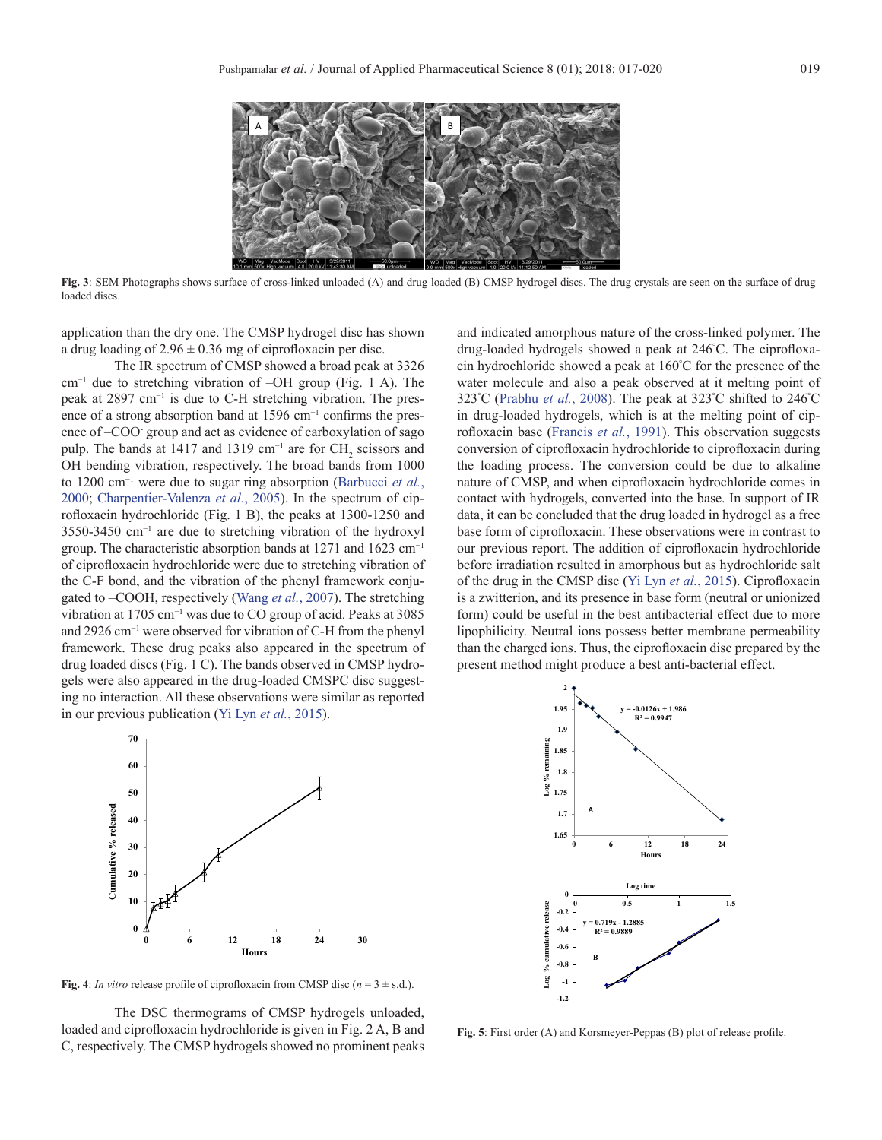

**Fig. 3**: SEM Photographs shows surface of cross-linked unloaded (A) and drug loaded (B) CMSP hydrogel discs. The drug crystals are seen on the surface of drug loaded discs.

application than the dry one. The CMSP hydrogel disc has shown a drug loading of  $2.96 \pm 0.36$  mg of ciprofloxacin per disc.

The IR spectrum of CMSP showed a broad peak at 3326 cm−1 due to stretching vibration of –OH group (Fig. 1 A). The peak at 2897 cm−1 is due to C-H stretching vibration. The presence of a strong absorption band at 1596 cm<sup>-1</sup> confirms the presence of –COO- group and act as evidence of carboxylation of sago pulp. The bands at 1417 and 1319 cm<sup>-1</sup> are for  $CH_2$  scissors and OH bending vibration, respectively. The broad bands from 1000 to 1200 cm−1 were due to sugar ring absorption ([Barbucci](#page-3-3) *et al.*, [2000;](#page-3-3) [Charpentier-Valenza](#page-3-4) *et al.*, 2005). In the spectrum of ciprofloxacin hydrochloride (Fig. 1 B), the peaks at 1300-1250 and 3550-3450 cm−1 are due to stretching vibration of the hydroxyl group. The characteristic absorption bands at 1271 and 1623 cm<sup>-1</sup> of ciprofloxacin hydrochloride were due to stretching vibration of the C-F bond, and the vibration of the phenyl framework conjugated to –COOH, respectively [\(Wang](#page-3-5) *et al.*, 2007). The stretching vibration at 1705 cm−1 was due to CO group of acid. Peaks at 3085 and 2926 cm−1 were observed for vibration of C-H from the phenyl framework. These drug peaks also appeared in the spectrum of drug loaded discs (Fig. 1 C). The bands observed in CMSP hydrogels were also appeared in the drug-loaded CMSPC disc suggesting no interaction. All these observations were similar as reported in our previous publication ([Yi Lyn](#page-3-1) *et al.*, 2015).

and indicated amorphous nature of the cross-linked polymer. The drug-loaded hydrogels showed a peak at 246° C. The ciprofloxacin hydrochloride showed a peak at 160° C for the presence of the water molecule and also a peak observed at it melting point of 323°C ([Prabhu](#page-3-6) *et al.*, 2008). The peak at 323°C shifted to 246°C in drug-loaded hydrogels, which is at the melting point of ciprofloxacin base [\(Francis](#page-3-7) *et al.*, 1991). This observation suggests conversion of ciprofloxacin hydrochloride to ciprofloxacin during the loading process. The conversion could be due to alkaline nature of CMSP, and when ciprofloxacin hydrochloride comes in contact with hydrogels, converted into the base. In support of IR data, it can be concluded that the drug loaded in hydrogel as a free base form of ciprofloxacin. These observations were in contrast to our previous report. The addition of ciprofloxacin hydrochloride before irradiation resulted in amorphous but as hydrochloride salt of the drug in the CMSP disc ([Yi Lyn](#page-3-1) *et al.*, 2015). Ciprofloxacin is a zwitterion, and its presence in base form (neutral or unionized form) could be useful in the best antibacterial effect due to more lipophilicity. Neutral ions possess better membrane permeability than the charged ions. Thus, the ciprofloxacin disc prepared by the present method might produce a best anti-bacterial effect.



**2 1.95 y = -0.0126x + 1.986 R² = 0.9947 1.9 Log % remaining** يشامل **1.85** % rem **1.8**  $\frac{86}{2}$  1.75 **A 1.7 1.65 0 6 12 18 24 Hours** Log tii **0 Log % cumulative release 0 0.5 1 1.5 -0.2** % cumulative relea **y = 0.719x - 1.2885 -0.4 R² = 0.9889 -0.6 B -0.8** Log **-1 -1.2**

**Fig. 4**: *In vitro* release profile of ciprofloxacin from CMSP disc  $(n = 3 \pm s.d.)$ .

The DSC thermograms of CMSP hydrogels unloaded, loaded and ciprofloxacin hydrochloride is given in Fig. 2 A, B and C, respectively. The CMSP hydrogels showed no prominent peaks

**Fig. 5**: First order (A) and Korsmeyer-Peppas (B) plot of release profile.